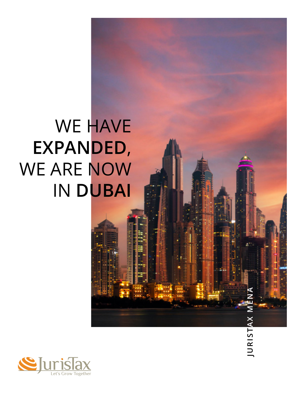# WE HAVE **EXPANDED**, WE ARE NOW IN **DUBAI**

**JURISTAX MENA**

JURISTAX M

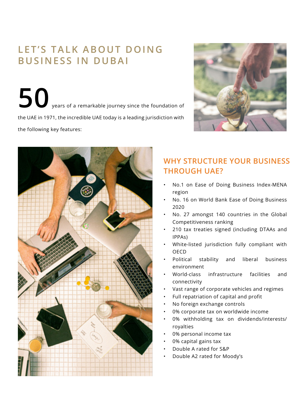## **LET'S TALK ABOUT DOING BUSINESS IN DUBAI**

**50** years of a remarkable journey since the foundation of the UAE in 1971, the incredible UAE today is a leading jurisdiction with the following key features:





## **WHY STRUCTURE YOUR BUSINESS THROUGH UAE?**

- No.1 on Ease of Doing Business Index-MENA region
- No. 16 on World Bank Ease of Doing Business 2020
- No. 27 amongst 140 countries in the Global Competitiveness ranking
- 210 tax treaties signed (including DTAAs and IPPAs)
- White-listed jurisdiction fully compliant with OECD
- Political stability and liberal business environment
- World-class infrastructure facilities and connectivity
- Vast range of corporate vehicles and regimes
- Full repatriation of capital and profit
- No foreign exchange controls
- 0% corporate tax on worldwide income
- 0% withholding tax on dividends/interests/ royalties
- 0% personal income tax
- 0% capital gains tax
- Double A rated for S&P
- Double A2 rated for Moody's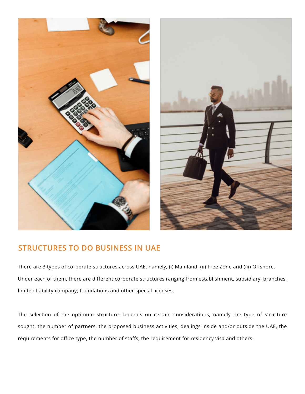



#### **STRUCTURES TO DO BUSINESS IN UAE**

There are 3 types of corporate structures across UAE, namely, (i) Mainland, (ii) Free Zone and (iii) Offshore. Under each of them, there are different corporate structures ranging from establishment, subsidiary, branches, limited liability company, foundations and other special licenses.

The selection of the optimum structure depends on certain considerations, namely the type of structure sought, the number of partners, the proposed business activities, dealings inside and/or outside the UAE, the requirements for office type, the number of staffs, the requirement for residency visa and others.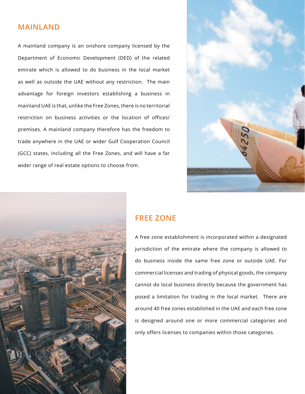#### **MAINLAND**

A mainland company is an onshore company licensed by the Department of Economic Development (DED) of the related emirate which is allowed to do business in the local market as well as outside the UAE without any restriction. The main advantage for foreign investors establishing a business in mainland UAE is that, unlike the Free Zones, there is no territorial restriction on business activities or the location of offices/ premises. A mainland company therefore has the freedom to trade anywhere in the UAE or wider Gulf Cooperation Council (GCC) states, including all the Free Zones, and will have a far wider range of real estate options to choose from.





#### **FREE ZONE**

A free zone establishment is incorporated within a designated jurisdiction of the emirate where the company is allowed to do business inside the same free zone or outside UAE. For commercial licenses and trading of physical goods, the company cannot do local business directly because the government has posed a limitation for trading in the local market. There are around 40 free zones established in the UAE and each free zone is designed around one or more commercial categories and only offers licenses to companies within those categories.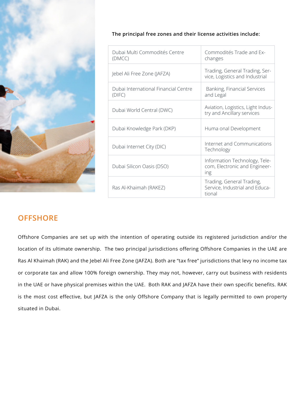

| The principal free zones and their license activities include: $\overline{\phantom{a}}$ |  |  |  |
|-----------------------------------------------------------------------------------------|--|--|--|
|                                                                                         |  |  |  |

| Dubai Multi Commodités Centre<br>(DMCC)        | Commodités Trade and Ex-<br>changes                                   |
|------------------------------------------------|-----------------------------------------------------------------------|
| Jebel Ali Free Zone (JAFZA)                    | Trading, General Trading, Ser-<br>vice, Logistics and Industrial      |
| Dubai International Financial Centre<br>(DIFC) | Banking, Financial Services<br>and Legal                              |
| Dubai World Central (DWC)                      | Aviation, Logistics, Light Indus-<br>try and Ancillary services       |
| Dubai Knowledge Park (DKP)                     | Huma onal Development                                                 |
| Dubai Internet City (DIC)                      | Internet and Communications<br>Technology                             |
| Dubai Silicon Oasis (DSO)                      | Information Technology, Tele-<br>com, Electronic and Engineer-<br>ing |
| Ras Al-Khaimah (RAKEZ)                         | Trading, General Trading,<br>Service, Industrial and Educa-<br>tional |

### **OFFSHORE**

Offshore Companies are set up with the intention of operating outside its registered jurisdiction and/or the location of its ultimate ownership. The two principal jurisdictions offering Offshore Companies in the UAE are Ras Al Khaimah (RAK) and the Jebel Ali Free Zone (JAFZA). Both are "tax free" jurisdictions that levy no income tax or corporate tax and allow 100% foreign ownership. They may not, however, carry out business with residents in the UAE or have physical premises within the UAE. Both RAK and JAFZA have their own specific benefits. RAK is the most cost effective, but JAFZA is the only Offshore Company that is legally permitted to own property situated in Dubai.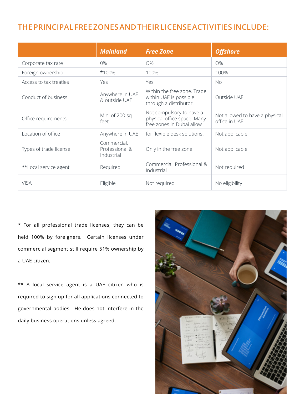#### **THE PRINCIPAL FREE ZONES AND THEIR LICENSE ACTIVITIES INCLUDE:**

|                        | <b>Mainland</b>                             | <b>Free Zone</b>                                                                     | <b>Offshore</b>                                  |
|------------------------|---------------------------------------------|--------------------------------------------------------------------------------------|--------------------------------------------------|
| Corporate tax rate     | $0\%$                                       | O%                                                                                   | O%                                               |
| Foreign ownership      | *100%                                       | 100%                                                                                 | 100%                                             |
| Access to tax treaties | Yes                                         | Yes                                                                                  | No                                               |
| Conduct of business    | Anywhere in UAE<br>& outside UAE            | Within the free zone. Trade<br>within UAE is possible<br>through a distributor.      | Outside UAE                                      |
| Office requirements    | Min. of 200 sq<br>feet                      | Not compulsory to have a<br>physical office space. Many<br>free zones in Dubai allow | Not allowed to have a physical<br>office in UAE. |
| Location of office     | Anywhere in UAE                             | for flexible desk solutions.                                                         | Not applicable                                   |
| Types of trade license | Commercial,<br>Professional &<br>Industrial | Only in the free zone                                                                | Not applicable                                   |
| **Local service agent  | Required                                    | Commercial, Professional &<br>Industrial                                             | Not required                                     |
| <b>VISA</b>            | Eligible                                    | Not required                                                                         | No eligibility                                   |

**\*** For all professional trade licenses, they can be held 100% by foreigners. Certain licenses under commercial segment still require 51% ownership by a UAE citizen.

\*\* A local service agent is a UAE citizen who is required to sign up for all applications connected to governmental bodies. He does not interfere in the daily business operations unless agreed.

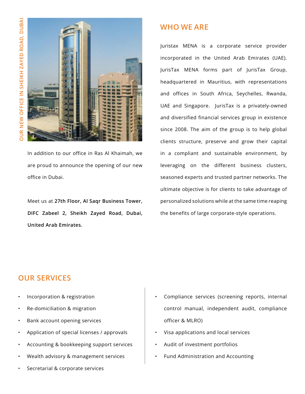

In addition to our office in Ras Al Khaimah, we are proud to announce the opening of our new office in Dubai.

Meet us at **27th Floor, Al Saqr Business Tower, DIFC Zabeel 2, Sheikh Zayed Road, Dubai, United Arab Emirates.** 

#### **WHO WE ARE**

Juristax MENA is a corporate service provider incorporated in the United Arab Emirates (UAE). JurisTax MENA forms part of JurisTax Group, headquartered in Mauritius, with representations and offices in South Africa, Seychelles, Rwanda, UAE and Singapore. JurisTax is a privately-owned and diversified financial services group in existence since 2008. The aim of the group is to help global clients structure, preserve and grow their capital in a compliant and sustainable environment, by leveraging on the different business clusters, seasoned experts and trusted partner networks. The ultimate objective is for clients to take advantage of personalized solutions while at the same time reaping the benefits of large corporate-style operations.

#### **OUR SERVICES**

- Incorporation & registration
- Re-domiciliation & migration
- Bank account opening services
- Application of special licenses / approvals
- Accounting & bookkeeping support services
- Wealth advisory & management services
- Secretarial & corporate services
- Compliance services (screening reports, internal control manual, independent audit, compliance officer & MLRO)
- Visa applications and local services
- Audit of investment portfolios
- Fund Administration and Accounting